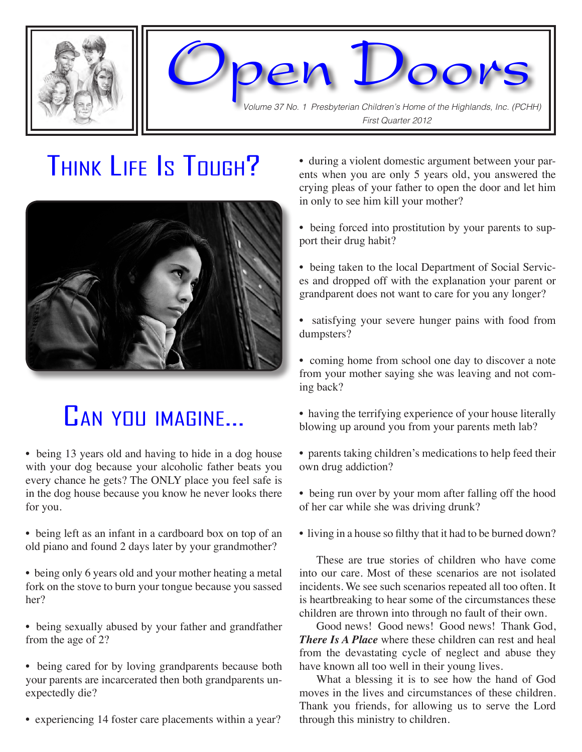



Volume 37 No. 1 Presbyterian Children's Home of the Highlands, Inc. (PCHH) First Quarter 2012

# Think Life Is Tough?



# Can you imagine...

• being 13 years old and having to hide in a dog house with your dog because your alcoholic father beats you every chance he gets? The ONLY place you feel safe is in the dog house because you know he never looks there for you.

• being left as an infant in a cardboard box on top of an old piano and found 2 days later by your grandmother?

• being only 6 years old and your mother heating a metal fork on the stove to burn your tongue because you sassed her?

• being sexually abused by your father and grandfather from the age of 2?

• being cared for by loving grandparents because both your parents are incarcerated then both grandparents unexpectedly die?

• experiencing 14 foster care placements within a year?

• during a violent domestic argument between your parents when you are only 5 years old, you answered the crying pleas of your father to open the door and let him in only to see him kill your mother?

• being forced into prostitution by your parents to support their drug habit?

• being taken to the local Department of Social Services and dropped off with the explanation your parent or grandparent does not want to care for you any longer?

• satisfying your severe hunger pains with food from dumpsters?

• coming home from school one day to discover a note from your mother saying she was leaving and not coming back?

- having the terrifying experience of your house literally blowing up around you from your parents meth lab?
- parents taking children's medications to help feed their own drug addiction?
- being run over by your mom after falling off the hood of her car while she was driving drunk?
- living in a house so filthy that it had to be burned down?

These are true stories of children who have come into our care. Most of these scenarios are not isolated incidents. We see such scenarios repeated all too often. It is heartbreaking to hear some of the circumstances these children are thrown into through no fault of their own.

Good news! Good news! Good news! Thank God, *There Is A Place* where these children can rest and heal from the devastating cycle of neglect and abuse they have known all too well in their young lives.

What a blessing it is to see how the hand of God moves in the lives and circumstances of these children. Thank you friends, for allowing us to serve the Lord through this ministry to children.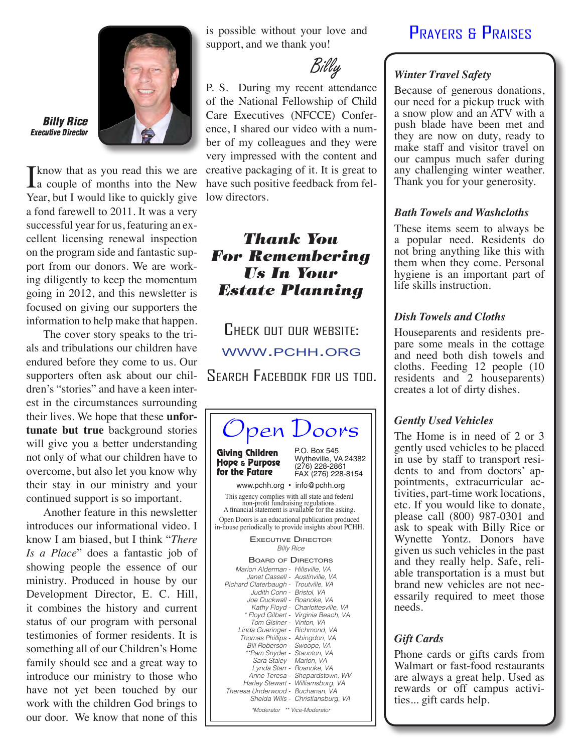

#### Billy Rice Executive Director

I know that as you read this we are<br>
a couple of months into the New Year, but I would like to quickly give a fond farewell to 2011. It was a very successful year for us, featuring an excellent licensing renewal inspection on the program side and fantastic support from our donors. We are working diligently to keep the momentum going in 2012, and this newsletter is focused on giving our supporters the information to help make that happen.

The cover story speaks to the trials and tribulations our children have endured before they come to us. Our supporters often ask about our children's "stories" and have a keen interest in the circumstances surrounding their lives. We hope that these **unfortunate but true** background stories will give you a better understanding not only of what our children have to overcome, but also let you know why their stay in our ministry and your continued support is so important.

Another feature in this newsletter introduces our informational video. I know I am biased, but I think "*There Is a Place*" does a fantastic job of showing people the essence of our ministry. Produced in house by our Development Director, E. C. Hill, it combines the history and current status of our program with personal testimonies of former residents. It is something all of our Children's Home family should see and a great way to introduce our ministry to those who have not yet been touched by our work with the children God brings to our door. We know that none of this

is possible without your love and support, and we thank you!

Billy

P. S. During my recent attendance of the National Fellowship of Child Care Executives (NFCCE) Conference, I shared our video with a number of my colleagues and they were very impressed with the content and creative packaging of it. It is great to have such positive feedback from fellow directors.

# Thank You For Remembering Us In Your Estate Planning

CHECK OUT OUR WEBSITE: www.pchh.org Search Facebook for us too.



#### \*Moderator \*\* Vice-Moderator

### Prayers & Praises

#### *Winter Travel Safety*

Because of generous donations, our need for a pickup truck with a snow plow and an ATV with a push blade have been met and they are now on duty, ready to make staff and visitor travel on our campus much safer during any challenging winter weather. Thank you for your generosity.

#### *Bath Towels and Washcloths*

These items seem to always be a popular need. Residents do not bring anything like this with them when they come. Personal hygiene is an important part of life skills instruction.

#### *Dish Towels and Cloths*

Houseparents and residents prepare some meals in the cottage and need both dish towels and cloths. Feeding 12 people (10 residents and 2 houseparents) creates a lot of dirty dishes.

#### *Gently Used Vehicles*

The Home is in need of 2 or 3 gently used vehicles to be placed dents to and from doctors' ap-<br>pointments, extracurricular ac-<br>tivities, part-time work locations, etc. If you would like to donate, please call (800) 987-0301 and ask to speak with Billy Rice or Wynette Yontz. Donors have given us such vehicles in the past and they really help. Safe, reli- able transportation is a must but brand new vehicles are not necessarily required to meet those needs.

### *Gift Cards*

Phone cards or gifts cards from Walmart or fast-food restaurants are always a great help. Used as rewards or off campus activi ties... gift cards help.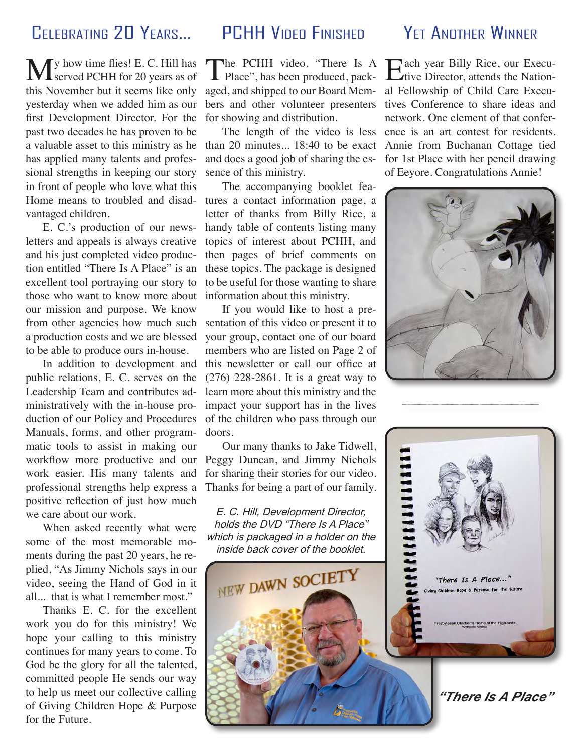# CELEBRATING 20 YEARS. PCHH VIDEO FINISHED

**M** y how time flies! E. C. Hill has served PCHH for 20 years as of this November but it seems like only yesterday when we added him as our first Development Director. For the past two decades he has proven to be a valuable asset to this ministry as he has applied many talents and professional strengths in keeping our story in front of people who love what this vantaged children.

E. C.'s production of our newsletters and appeals is always creative and his just completed video production entitled "There Is A Place" is an excellent tool portraying our story to those who want to know more about our mission and purpose. We know from other agencies how much such a production costs and we are blessed to be able to produce ours in-house.

In addition to development and public relations, E. C. serves on the Leadership Team and contributes administratively with the in-house production of our Policy and Procedures Manuals, forms, and other programmatic tools to assist in making our workflow more productive and our work easier. His many talents and professional strengths help express a positive reflection of just how much we care about our work.

When asked recently what were some of the most memorable moments during the past 20 years, he replied, "As Jimmy Nichols says in our video, seeing the Hand of God in it all... that is what I remember most."

Thanks E. C. for the excellent work you do for this ministry! We hope your calling to this ministry continues for many years to come. To God be the glory for all the talented, committed people He sends our way to help us meet our collective calling of Giving Children Hope & Purpose for the Future.

The PCHH video, "There Is A Place", has been produced, packaged, and shipped to our Board Members and other volunteer presenters for showing and distribution.

The length of the video is less than 20 minutes... 18:40 to be exact and does a good job of sharing the essence of this ministry.

The accompanying booklet fea-Home means to troubled and disad- tures a contact information page, a letter of thanks from Billy Rice, a handy table of contents listing many topics of interest about PCHH, and then pages of brief comments on these topics. The package is designed to be useful for those wanting to share information about this ministry.

> If you would like to host a presentation of this video or present it to your group, contact one of our board members who are listed on Page 2 of this newsletter or call our office at (276) 228-2861. It is a great way to learn more about this ministry and the impact your support has in the lives of the children who pass through our doors.

> Our many thanks to Jake Tidwell, Peggy Duncan, and Jimmy Nichols for sharing their stories for our video. Thanks for being a part of our family.

E. C. Hill, Development Director, holds the DVD "There Is A Place" which is packaged in a holder on the inside back cover of the booklet.

NEW DAWN SOCIETY

# YET ANOTHER WINNER

Each year Billy Rice, our Execu-<br>Live Director attends the Nation-Trive Director, attends the National Fellowship of Child Care Executives Conference to share ideas and network. One element of that conference is an art contest for residents. Annie from Buchanan Cottage tied for 1st Place with her pencil drawing of Eeyore. Congratulations Annie!





*"There Is A Place"*